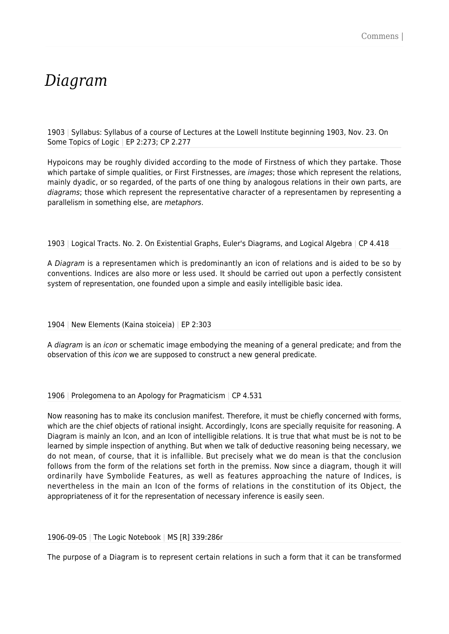## *Diagram*

1903 | Syllabus: Syllabus of a course of Lectures at the Lowell Institute beginning 1903, Nov. 23. On Some Topics of Logic | EP 2:273; CP 2.277

Hypoicons may be roughly divided according to the mode of Firstness of which they partake. Those which partake of simple qualities, or First Firstnesses, are images; those which represent the relations, mainly dyadic, or so regarded, of the parts of one thing by analogous relations in their own parts, are diagrams; those which represent the representative character of a representamen by representing a parallelism in something else, are metaphors.

1903 | Logical Tracts. No. 2. On Existential Graphs, Euler's Diagrams, and Logical Algebra | CP 4.418

A Diagram is a representamen which is predominantly an icon of relations and is aided to be so by conventions. Indices are also more or less used. It should be carried out upon a perfectly consistent system of representation, one founded upon a simple and easily intelligible basic idea.

1904 | New Elements (Kaina stoiceia) | EP 2:303

A diagram is an icon or schematic image embodying the meaning of a general predicate; and from the observation of this icon we are supposed to construct a new general predicate.

1906 | Prolegomena to an Apology for Pragmaticism | CP 4.531

Now reasoning has to make its conclusion manifest. Therefore, it must be chiefly concerned with forms, which are the chief objects of rational insight. Accordingly, Icons are specially requisite for reasoning. A Diagram is mainly an Icon, and an Icon of intelligible relations. It is true that what must be is not to be learned by simple inspection of anything. But when we talk of deductive reasoning being necessary, we do not mean, of course, that it is infallible. But precisely what we do mean is that the conclusion follows from the form of the relations set forth in the premiss. Now since a diagram, though it will ordinarily have Symbolide Features, as well as features approaching the nature of Indices, is nevertheless in the main an Icon of the forms of relations in the constitution of its Object, the appropriateness of it for the representation of necessary inference is easily seen.

1906-09-05 | The Logic Notebook | MS [R] 339:286r

The purpose of a Diagram is to represent certain relations in such a form that it can be transformed